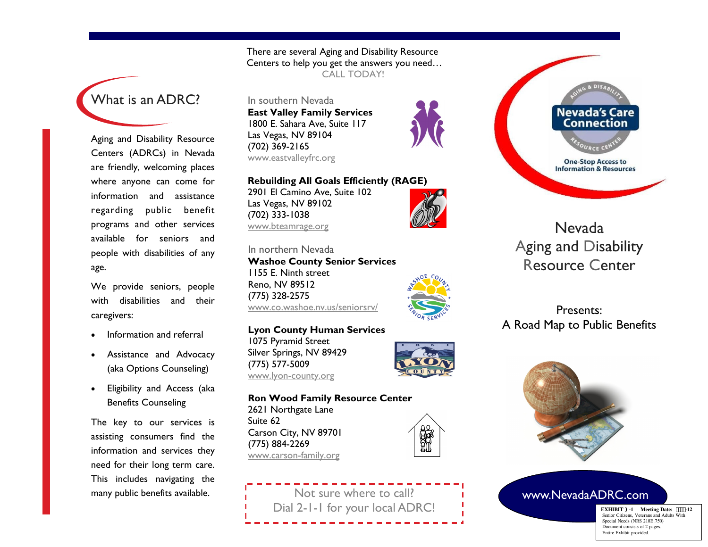# What is an ADRC?

Aging and Disability Resource Centers (ADRCs) in Nevada are friendly, welcoming places where anyone can come for information and assistance regarding public benefit programs and other services available for seniors and people with disabilities of any age.

We provide seniors, people with disabilities and their caregivers:

- Information and referral
- Assistance and Advocacy (aka Options Counseling)
- Eligibility and Access (aka Benefits Counseling

The key to our services is assisting consumers find the information and services they need for their long term care. This includes navigating the many public benefits available.

There are several Aging and Disability Resource Centers to help you get the answers you need… CALL TODAY!

In southern Nevada **East Valley Family Services** 1800 E. Sahara Ave, Suite 117 Las Vegas, NV 89104 (702) 369-2165 www.eastvalleyfrc.org

**Rebuilding All Goals Efficiently (RAGE)** 2901 El Camino Ave, Suite 102

Las Vegas, NV 89102 (702) 333-1038 www.bteamrage.org

In northern Nevada **Washoe County Senior Services** 1155 E. Ninth street Reno, NV 89512 (775) 328-2575 [www.co.washoe.nv.us/seniorsrv/](http://www.co.washoe.nv.us/seniorsrv/) 

**Lyon County Human Services** 1075 Pyramid Street Silver Springs, NV 89429 (775) 577-5009 www.lyon-county.org



**Ron Wood Family Resource Center** 2621 Northgate Lane Suite 62 Carson City, NV 89701 (775) 884-2269 www.carson-family.org

**Nevada's Care Connection One-Stop Access to Information & Resources** 

Nevada Aging and Disability Resource Center

## Presents: A Road Map to Public Benefits



### www.NevadaADRC.com

**EXHIBIT )-1** – **Meeting Date: -12** Senior Citizens, Veterans and Adults With Special Needs (NRS 218E.750) Document consists of 2 pages. Entire Exhibit provided.

 $\mathbb{F}$ 

Not sure where to call? Dial 2-1-1 for your local ADRC!